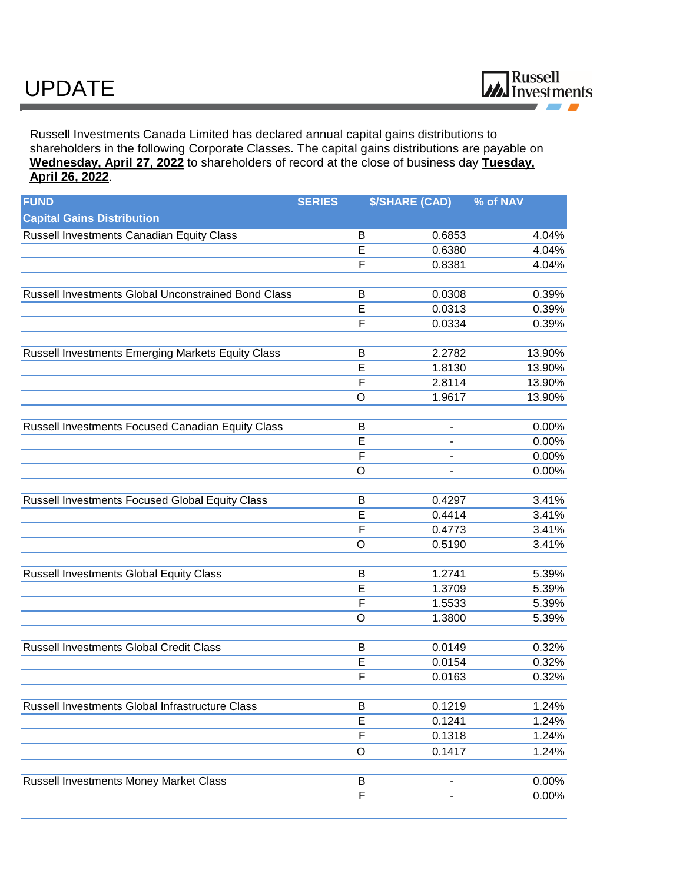Russell Investments Canada Limited has declared annual capital gains distributions to shareholders in the following Corporate Classes. The capital gains distributions are payable on **Wednesday, April 27, 2022** to shareholders of record at the close of business day **Tuesday, April 26, 2022**.

| <b>FUND</b>                                         | <b>SERIES</b>           | <b>\$/SHARE (CAD)</b> | % of NAV |
|-----------------------------------------------------|-------------------------|-----------------------|----------|
| <b>Capital Gains Distribution</b>                   |                         |                       |          |
| Russell Investments Canadian Equity Class           | B                       | 0.6853                | 4.04%    |
|                                                     | E                       | 0.6380                | 4.04%    |
|                                                     | $\overline{F}$          | 0.8381                | 4.04%    |
| Russell Investments Global Unconstrained Bond Class | B                       | 0.0308                | 0.39%    |
|                                                     | E                       | 0.0313                | 0.39%    |
|                                                     | F                       | 0.0334                | 0.39%    |
| Russell Investments Emerging Markets Equity Class   | B                       | 2.2782                | 13.90%   |
|                                                     | E                       | 1.8130                | 13.90%   |
|                                                     | $\mathsf F$             | 2.8114                | 13.90%   |
|                                                     | $\circ$                 | 1.9617                | 13.90%   |
| Russell Investments Focused Canadian Equity Class   | B                       |                       | 0.00%    |
|                                                     | E                       |                       | 0.00%    |
|                                                     | $\mathsf F$             |                       | 0.00%    |
|                                                     | $\circ$                 |                       | 0.00%    |
| Russell Investments Focused Global Equity Class     | B                       | 0.4297                | 3.41%    |
|                                                     | E                       | 0.4414                | 3.41%    |
|                                                     | $\overline{F}$          | 0.4773                | 3.41%    |
|                                                     | $\circ$                 | 0.5190                | 3.41%    |
| Russell Investments Global Equity Class             | B                       | 1.2741                | 5.39%    |
|                                                     | E                       | 1.3709                | 5.39%    |
|                                                     | $\mathsf{F}$            | 1.5533                | 5.39%    |
|                                                     | $\circ$                 | 1.3800                | 5.39%    |
| <b>Russell Investments Global Credit Class</b>      | B                       | 0.0149                | 0.32%    |
|                                                     | E                       | 0.0154                | 0.32%    |
|                                                     | $\overline{F}$          | 0.0163                | 0.32%    |
|                                                     |                         |                       |          |
| Russell Investments Global Infrastructure Class     | B                       | 0.1219                | 1.24%    |
|                                                     | E<br>$\overline{F}$     | 0.1241<br>0.1318      | 1.24%    |
|                                                     |                         |                       | 1.24%    |
|                                                     | $\circ$                 | 0.1417                | 1.24%    |
| <b>Russell Investments Money Market Class</b>       | B                       |                       | 0.00%    |
|                                                     | $\overline{\mathsf{F}}$ |                       | 0.00%    |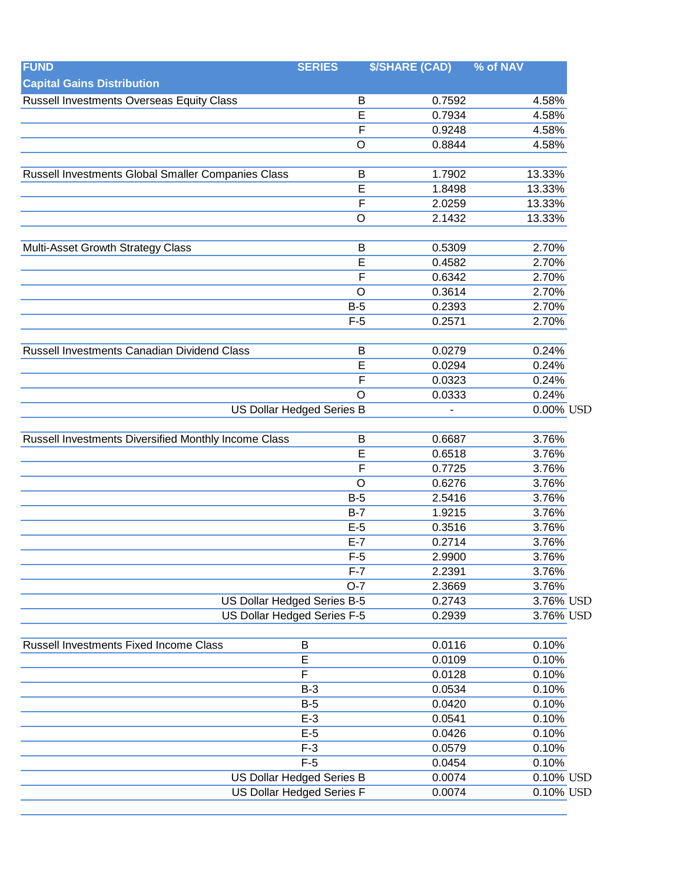| <b>FUND</b>                                          | <b>SERIES</b>                    | <b>\$/SHARE (CAD)</b> | % of NAV     |
|------------------------------------------------------|----------------------------------|-----------------------|--------------|
| <b>Capital Gains Distribution</b>                    |                                  |                       |              |
| <b>Russell Investments Overseas Equity Class</b>     | B                                | 0.7592                | 4.58%        |
|                                                      | $\overline{E}$                   | 0.7934                | 4.58%        |
|                                                      | $\overline{F}$                   | 0.9248                | 4.58%        |
|                                                      | $\circ$                          | 0.8844                | 4.58%        |
|                                                      |                                  |                       |              |
| Russell Investments Global Smaller Companies Class   | B                                | 1.7902                | 13.33%       |
|                                                      | E                                | 1.8498                | 13.33%       |
|                                                      | $\overline{F}$                   | 2.0259                | 13.33%       |
|                                                      | $\circ$                          | 2.1432                | 13.33%       |
| Multi-Asset Growth Strategy Class                    | B                                | 0.5309                | 2.70%        |
|                                                      | E                                | 0.4582                | 2.70%        |
|                                                      | $\overline{F}$                   | 0.6342                | 2.70%        |
|                                                      | $\circ$                          | 0.3614                | 2.70%        |
|                                                      | $B-5$                            | 0.2393                | 2.70%        |
|                                                      | $F-5$                            | 0.2571                | 2.70%        |
|                                                      |                                  |                       |              |
| Russell Investments Canadian Dividend Class          | B                                | 0.0279                | 0.24%        |
|                                                      | E                                | 0.0294                | 0.24%        |
|                                                      | F                                | 0.0323                | 0.24%        |
|                                                      | $\circ$                          | 0.0333                | 0.24%        |
|                                                      | <b>US Dollar Hedged Series B</b> |                       | 0.00% USD    |
| Russell Investments Diversified Monthly Income Class | $\mathsf B$                      | 0.6687                | 3.76%        |
|                                                      | E                                | 0.6518                | 3.76%        |
|                                                      | $\mathsf{F}$                     | 0.7725                | 3.76%        |
|                                                      | $\circ$                          | 0.6276                | 3.76%        |
|                                                      | $B-5$                            | 2.5416                | 3.76%        |
|                                                      | $B-7$                            | 1.9215                | 3.76%        |
|                                                      | $E-5$                            | 0.3516                | 3.76%        |
|                                                      | $E-7$                            | 0.2714                | 3.76%        |
|                                                      | $F-5$                            | 2.9900                | 3.76%        |
|                                                      | $F-7$                            | 2.2391                | 3.76%        |
|                                                      | $O-7$                            | 2.3669                | 3.76%        |
| US Dollar Hedged Series B-5                          |                                  | 0.2743                | 3.76% USD    |
|                                                      | US Dollar Hedged Series F-5      | 0.2939                | 3.76% USD    |
|                                                      |                                  |                       |              |
| <b>Russell Investments Fixed Income Class</b>        | B                                | 0.0116                | 0.10%        |
|                                                      | E                                | 0.0109                | 0.10%        |
|                                                      | F                                | 0.0128                | 0.10%        |
|                                                      | $B-3$                            | 0.0534                | 0.10%        |
|                                                      | $B-5$                            | 0.0420                | 0.10%        |
|                                                      | $E-3$                            | 0.0541                | 0.10%        |
|                                                      | $E-5$                            | 0.0426                | 0.10%        |
|                                                      | $F-3$                            | 0.0579                | 0.10%        |
|                                                      | $F-5$                            | 0.0454                | 0.10%        |
|                                                      | <b>US Dollar Hedged Series B</b> | 0.0074                | 0.10% USD    |
|                                                      | US Dollar Hedged Series F        | 0.0074                | $0.10\%$ USD |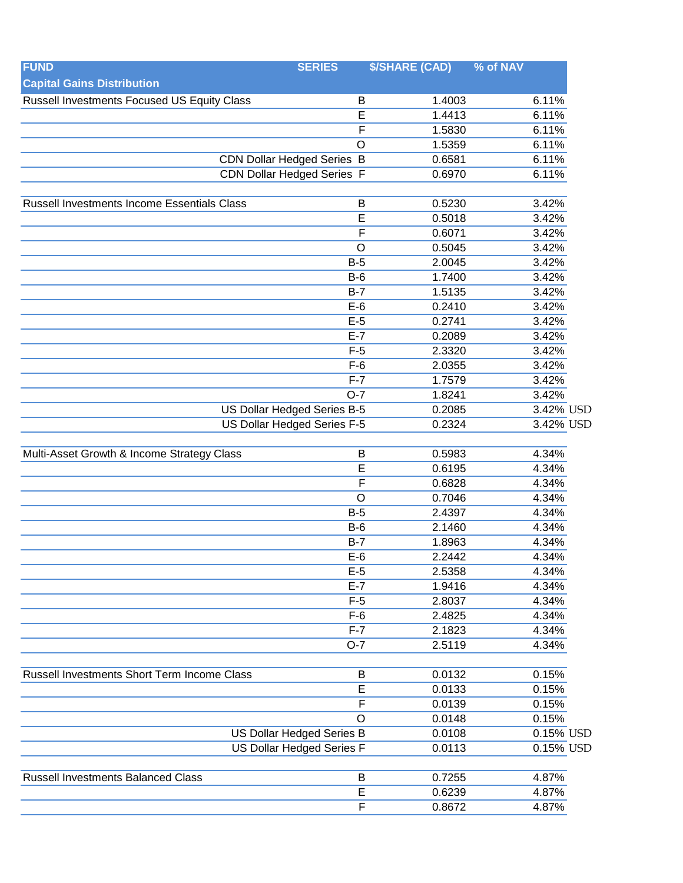| <b>FUND</b>                                 | <b>SERIES</b>                     | <b>\$/SHARE (CAD)</b> | % of NAV  |
|---------------------------------------------|-----------------------------------|-----------------------|-----------|
| <b>Capital Gains Distribution</b>           |                                   |                       |           |
| Russell Investments Focused US Equity Class | B                                 | 1.4003                | 6.11%     |
|                                             | E                                 | 1.4413                | 6.11%     |
|                                             | $\overline{\mathsf{F}}$           | 1.5830                | 6.11%     |
|                                             | O                                 | 1.5359                | 6.11%     |
|                                             | <b>CDN Dollar Hedged Series B</b> | 0.6581                | 6.11%     |
|                                             | <b>CDN Dollar Hedged Series F</b> | 0.6970                | 6.11%     |
| Russell Investments Income Essentials Class | $\mathsf B$                       | 0.5230                | 3.42%     |
|                                             | E                                 | 0.5018                | 3.42%     |
|                                             | F                                 | 0.6071                | 3.42%     |
|                                             | O                                 | 0.5045                | 3.42%     |
|                                             | $B-5$                             | 2.0045                | 3.42%     |
|                                             | $B-6$                             | 1.7400                | 3.42%     |
|                                             | $B-7$                             | 1.5135                | 3.42%     |
|                                             | $E-6$                             | 0.2410                | 3.42%     |
|                                             | $E-5$                             | 0.2741                | 3.42%     |
|                                             | $E-7$                             | 0.2089                | 3.42%     |
|                                             | $F-5$                             | 2.3320                | 3.42%     |
|                                             | $F-6$                             | 2.0355                | 3.42%     |
|                                             | $F-7$                             | 1.7579                | 3.42%     |
|                                             | $O-7$                             | 1.8241                | 3.42%     |
|                                             | US Dollar Hedged Series B-5       | 0.2085                | 3.42% USD |
|                                             | US Dollar Hedged Series F-5       | 0.2324                | 3.42% USD |
| Multi-Asset Growth & Income Strategy Class  | $\mathsf B$                       | 0.5983                | 4.34%     |
|                                             | E                                 | 0.6195                | 4.34%     |
|                                             | $\overline{F}$                    | 0.6828                | 4.34%     |
|                                             | O                                 | 0.7046                | 4.34%     |
|                                             | $B-5$                             | 2.4397                | 4.34%     |
|                                             | $B-6$                             | 2.1460                | 4.34%     |
|                                             | $B-7$                             | 1.8963                | 4.34%     |
|                                             | $E-6$                             | 2.2442                | 4.34%     |
|                                             | $E-5$                             | 2.5358                | 4.34%     |
|                                             | $E-7$                             | 1.9416                | 4.34%     |
|                                             | $F-5$                             | 2.8037                | 4.34%     |
|                                             | $F-6$                             | 2.4825                | 4.34%     |
|                                             | $F-7$                             | 2.1823                | 4.34%     |
|                                             | $O-7$                             | 2.5119                | 4.34%     |
| Russell Investments Short Term Income Class | B                                 | 0.0132                | 0.15%     |
|                                             | E                                 | 0.0133                | 0.15%     |
|                                             | F                                 | 0.0139                | 0.15%     |
|                                             | O                                 | 0.0148                | 0.15%     |
|                                             | US Dollar Hedged Series B         | 0.0108                | 0.15% USD |
| US Dollar Hedged Series F                   |                                   | 0.0113                | 0.15% USD |
| <b>Russell Investments Balanced Class</b>   | B                                 | 0.7255                | 4.87%     |
|                                             | $\overline{E}$                    | 0.6239                | 4.87%     |
|                                             |                                   |                       |           |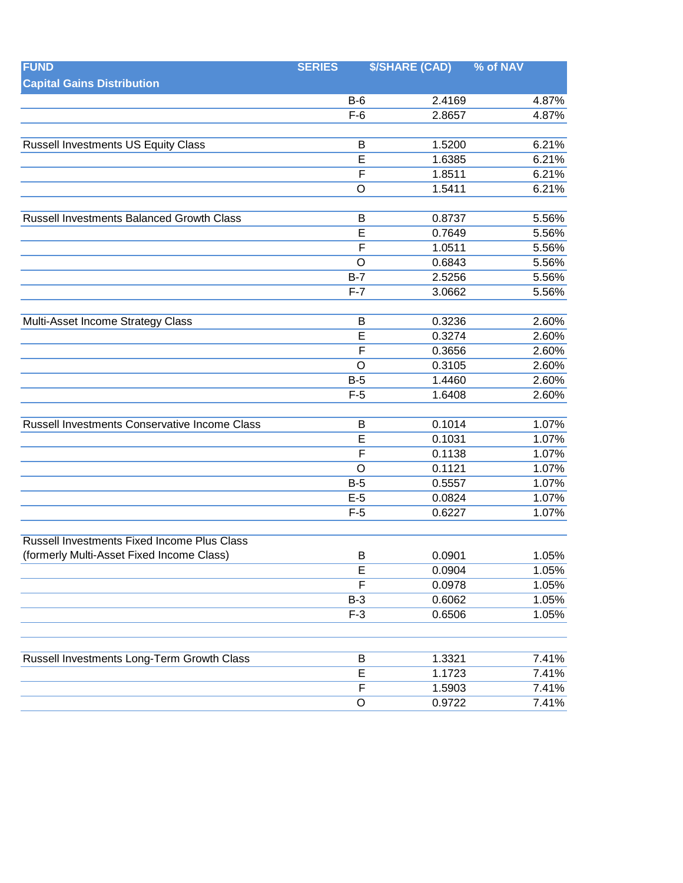| <b>FUND</b>                                        | <b>SERIES</b>           | <b>\$/SHARE (CAD)</b> | % of NAV |
|----------------------------------------------------|-------------------------|-----------------------|----------|
| <b>Capital Gains Distribution</b>                  |                         |                       |          |
|                                                    | $B-6$                   | 2.4169                | 4.87%    |
|                                                    | $F-6$                   | 2.8657                | 4.87%    |
|                                                    |                         |                       |          |
| <b>Russell Investments US Equity Class</b>         | B                       | 1.5200                | 6.21%    |
|                                                    | $\overline{\mathsf{E}}$ | 1.6385                | 6.21%    |
|                                                    | $\mathsf{F}$            | 1.8511                | 6.21%    |
|                                                    | O                       | 1.5411                | 6.21%    |
| Russell Investments Balanced Growth Class          | В                       | 0.8737                | 5.56%    |
|                                                    | $\overline{E}$          | 0.7649                | 5.56%    |
|                                                    | F                       | 1.0511                | 5.56%    |
|                                                    | $\circ$                 | 0.6843                | 5.56%    |
|                                                    | $B-7$                   | 2.5256                | 5.56%    |
|                                                    | $F-7$                   | 3.0662                | 5.56%    |
|                                                    |                         |                       |          |
| Multi-Asset Income Strategy Class                  | B                       | 0.3236                | 2.60%    |
|                                                    | E                       | 0.3274                | 2.60%    |
|                                                    | $\overline{F}$          | 0.3656                | 2.60%    |
|                                                    | $\circ$                 | 0.3105                | 2.60%    |
|                                                    | $B-5$                   | 1.4460                | 2.60%    |
|                                                    | $F-5$                   | 1.6408                | 2.60%    |
| Russell Investments Conservative Income Class      | B                       | 0.1014                | 1.07%    |
|                                                    | $\overline{E}$          | 0.1031                | 1.07%    |
|                                                    | $\overline{\mathsf{F}}$ | 0.1138                | 1.07%    |
|                                                    | $\circ$                 | 0.1121                | 1.07%    |
|                                                    | $B-5$                   | 0.5557                | 1.07%    |
|                                                    | $E-5$                   | 0.0824                | 1.07%    |
|                                                    | $F-5$                   | 0.6227                | 1.07%    |
| <b>Russell Investments Fixed Income Plus Class</b> |                         |                       |          |
| (formerly Multi-Asset Fixed Income Class)          | B                       | 0.0901                | 1.05%    |
|                                                    | E                       | 0.0904                | 1.05%    |
|                                                    | $\overline{F}$          | 0.0978                | 1.05%    |
|                                                    | $B-3$                   | 0.6062                | 1.05%    |
|                                                    | $F-3$                   | 0.6506                | 1.05%    |
|                                                    |                         |                       |          |
| Russell Investments Long-Term Growth Class         | B                       | 1.3321                | 7.41%    |
|                                                    | $\overline{\mathsf{E}}$ | 1.1723                | 7.41%    |
|                                                    | $\mathsf F$             | 1.5903                | 7.41%    |
|                                                    | $\mathsf O$             | 0.9722                | 7.41%    |
|                                                    |                         |                       |          |